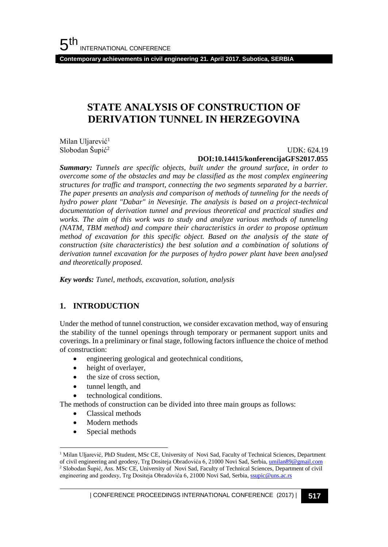**Contemporary achievements in civil engineering 21. April 2017. Subotica, SERBIA**

## **STATE ANALYSIS OF CONSTRUCTION OF DERIVATION TUNNEL IN HERZEGOVINA**

Milan Uljarević<sup>1</sup> Slobodan Šupić<sup>2</sup>

### UDK: 624.19 **DOI:10.14415/konferencijaGFS2017.055**

*Summary: Tunnels are specific objects, built under the ground surface, in order to overcome some of the obstacles and may be classified as the most complex engineering structures for traffic and transport, connecting the two segments separated by a barrier. The paper presents an analysis and comparison of methods of tunneling for the needs of hydro power plant "Dabar" in Nevesinje. The analysis is based on a project-technical documentation of derivation tunnel and previous theoretical and practical studies and works. The aim of this work was to study and analyze various methods of tunneling (NATM, TBM method) and compare their characteristics in order to propose optimum method of excavation for this specific object. Based on the analysis of the state of construction (site characteristics) the best solution and a combination of solutions of derivation tunnel excavation for the purposes of hydro power plant have been analysed and theoretically proposed.*

*Key words: Tunel, methods, excavation, solution, analysis*

### **1. INTRODUCTION**

Under the method of tunnel construction, we consider excavation method, way of ensuring the stability of the tunnel openings through temporary or permanent support units and coverings. In a preliminary or final stage, following factors influence the choice of method of construction:

- engineering geological and geotechnical conditions,
- height of overlayer,
- the size of cross section,
- tunnel length, and
- technological conditions.

The methods of construction can be divided into three main groups as follows:

- Classical methods
- Modern methods
- Special methods

l

<sup>&</sup>lt;sup>1</sup> Milan Uljarević, PhD Student, MSc CE, University of Novi Sad, Faculty of Technical Sciences, Department of civil engineering and geodesy, Trg Dositeja Obradovića 6, 21000 Novi Sad, Serbia, [umilan89@gmail.com](mailto:umilan89@gmail.com) <sup>2</sup> Slobodan Šupić, Ass. MSc CE, University of Novi Sad, Faculty of Technical Sciences, Department of civil engineering and geodesy, Trg Dositeja Obradovića 6, 21000 Novi Sad, Serbia, [ssupic@uns.ac.rs](mailto:ssupic@uns.ac.rs)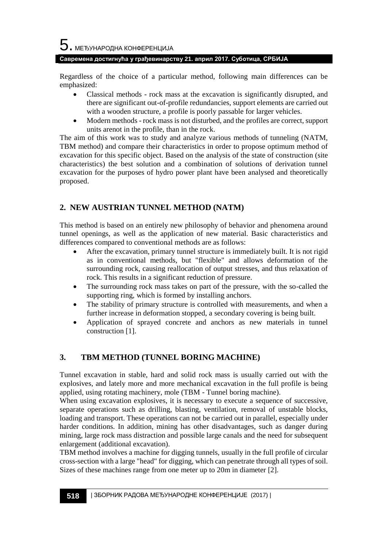### **Савремена достигнућа у грађевинарству 21. април 2017. Суботица, СРБИЈА**

Regardless of the choice of a particular method, following main differences can be emphasized:

- Classical methods rock mass at the excavation is significantly disrupted, and there are significant out-of-profile redundancies, support elements are carried out with a wooden structure, a profile is poorly passable for larger vehicles.
- Modern methods rock mass is not disturbed, and the profiles are correct, support units arenot in the profile, than in the rock.

The aim of this work was to study and analyze various methods of tunneling (NATM, TBM method) and compare their characteristics in order to propose optimum method of excavation for this specific object. Based on the analysis of the state of construction (site characteristics) the best solution and a combination of solutions of derivation tunnel excavation for the purposes of hydro power plant have been analysed and theoretically proposed.

## **2. NEW AUSTRIAN TUNNEL METHOD (NATM)**

This method is based on an entirely new philosophy of behavior and phenomena around tunnel openings, as well as the application of new material. Basic characteristics and differences compared to conventional methods are as follows:

- After the excavation, primary tunnel structure is immediately built. It is not rigid as in conventional methods, but "flexible" and allows deformation of the surrounding rock, causing reallocation of output stresses, and thus relaxation of rock. This results in a significant reduction of pressure.
- The surrounding rock mass takes on part of the pressure, with the so-called the supporting ring, which is formed by installing anchors.
- The stability of primary structure is controlled with measurements, and when a further increase in deformation stopped, a secondary covering is being built.
- Application of sprayed concrete and anchors as new materials in tunnel construction [1].

## **3. TBM METHOD (TUNNEL BORING MACHINE)**

Tunnel excavation in stable, hard and solid rock mass is usually carried out with the explosives, and lately more and more mechanical excavation in the full profile is being applied, using rotating machinery, mole (TBM - Tunnel boring machine).

When using excavation explosives, it is necessary to execute a sequence of successive, separate operations such as drilling, blasting, ventilation, removal of unstable blocks, loading and transport. These operations can not be carried out in parallel, especially under harder conditions. In addition, mining has other disadvantages, such as danger during mining, large rock mass distraction and possible large canals and the need for subsequent enlargement (additional excavation).

TBM method involves a machine for digging tunnels, usually in the full profile of circular cross-section with a large "head" for digging, which can penetrate through all types of soil. Sizes of these machines range from one meter up to 20m in diameter [2].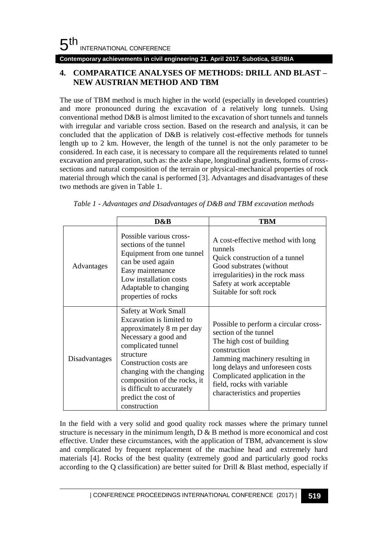#### **Contemporary achievements in civil engineering 21. April 2017. Subotica, SERBIA**

### **4. COMPARATICE ANALYSES OF METHODS: DRILL AND BLAST – NEW AUSTRIAN METHOD AND TBM**

The use of TBM method is much higher in the world (especially in developed countries) and more pronounced during the excavation of a relatively long tunnels. Using conventional method D&B is almost limited to the excavation of short tunnels and tunnels with irregular and variable cross section. Based on the research and analysis, it can be concluded that the application of D&B is relatively cost-effective methods for tunnels length up to 2 km. However, the length of the tunnel is not the only parameter to be considered. In each case, it is necessary to compare all the requirements related to tunnel excavation and preparation, such as: the axle shape, longitudinal gradients, forms of crosssections and natural composition of the terrain or physical-mechanical properties of rock material through which the canal is performed [3]. Advantages and disadvantages of these two methods are given in Table 1.

|               | D&B                                                                                                                                                                                                                                                                                                   | TBM                                                                                                                                                                                                                                                                                 |
|---------------|-------------------------------------------------------------------------------------------------------------------------------------------------------------------------------------------------------------------------------------------------------------------------------------------------------|-------------------------------------------------------------------------------------------------------------------------------------------------------------------------------------------------------------------------------------------------------------------------------------|
| Advantages    | Possible various cross-<br>sections of the tunnel<br>Equipment from one tunnel<br>can be used again<br>Easy maintenance<br>Low installation costs<br>Adaptable to changing<br>properties of rocks                                                                                                     | A cost-effective method with long<br>tunnels<br>Quick construction of a tunnel<br>Good substrates (without<br>irregularities) in the rock mass<br>Safety at work acceptable<br>Suitable for soft rock                                                                               |
| Disadvantages | Safety at Work Small<br>Excavation is limited to<br>approximately 8 m per day<br>Necessary a good and<br>complicated tunnel<br>structure<br>Construction costs are<br>changing with the changing<br>composition of the rocks, it<br>is difficult to accurately<br>predict the cost of<br>construction | Possible to perform a circular cross-<br>section of the tunnel<br>The high cost of building<br>construction<br>Jamming machinery resulting in<br>long delays and unforeseen costs<br>Complicated application in the<br>field, rocks with variable<br>characteristics and properties |

*Table 1 - Advantages and Disadvantages of D&B and TBM excavation methods*

In the field with a very solid and good quality rock masses where the primary tunnel structure is necessary in the minimum length, D & B method is more economical and cost effective. Under these circumstances, with the application of TBM, advancement is slow and complicated by frequent replacement of the machine head and extremely hard materials [4]. Rocks of the best quality (extremely good and particularly good rocks according to the Q classification) are better suited for Drill & Blast method, especially if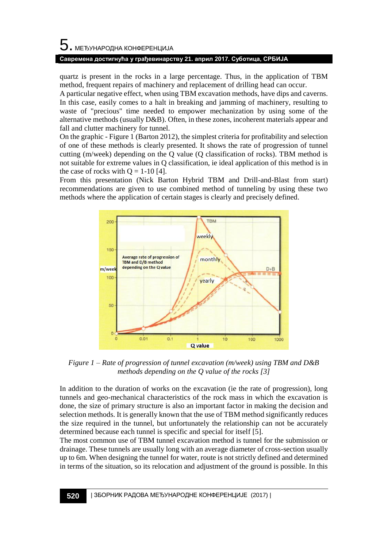# $5$ . међународна конференција

### **Савремена достигнућа у грађевинарству 21. април 2017. Суботица, СРБИЈА**

quartz is present in the rocks in a large percentage. Thus, in the application of TBM method, frequent repairs of machinery and replacement of drilling head can occur.

A particular negative effect, when using TBM excavation methods, have dips and caverns. In this case, easily comes to a halt in breaking and jamming of machinery, resulting to waste of "precious" time needed to empower mechanization by using some of the alternative methods (usually D&B). Often, in these zones, incoherent materials appear and fall and clutter machinery for tunnel.

On the graphic - Figure 1 (Barton 2012), the simplest criteria for profitability and selection of one of these methods is clearly presented. It shows the rate of progression of tunnel cutting (m/week) depending on the Q value (Q classification of rocks). TBM method is not suitable for extreme values in Q classification, ie ideal application of this method is in the case of rocks with  $Q = 1-10$  [4].

From this presentation (Nick Barton Hybrid TBM and Drill-and-Blast from start) recommendations are given to use combined method of tunneling by using these two methods where the application of certain stages is clearly and precisely defined.



*Figure 1 – Rate of progression of tunnel excavation (m/week) using TBM and D&B methods depending on the Q value of the rocks [3]*

In addition to the duration of works on the excavation (ie the rate of progression), long tunnels and geo-mechanical characteristics of the rock mass in which the excavation is done, the size of primary structure is also an important factor in making the decision and selection methods. It is generally known that the use of TBM method significantly reduces the size required in the tunnel, but unfortunately the relationship can not be accurately determined because each tunnel is specific and special for itself [5].

The most common use of TBM tunnel excavation method is tunnel for the submission or drainage. These tunnels are usually long with an average diameter of cross-section usually up to 6m. When designing the tunnel for water, route is not strictly defined and determined in terms of the situation, so its relocation and adjustment of the ground is possible. In this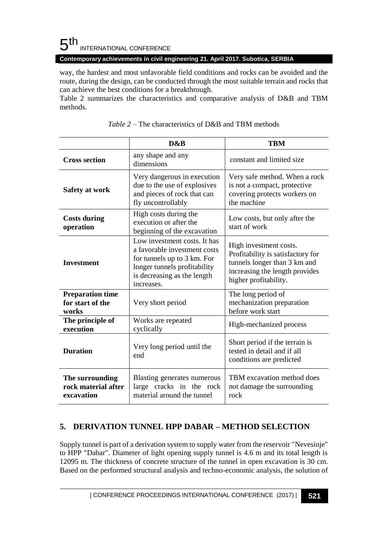## $5<sup>th</sup>$ INTERNATIONAL CONFERENCE

### **Contemporary achievements in civil engineering 21. April 2017. Subotica, SERBIA**

way, the hardest and most unfavorable field conditions and rocks can be avoided and the route, during the design, can be conducted through the most suitable terrain and rocks that can achieve the best conditions for a breakthrough.

Table 2 summarizes the characteristics and comparative analysis of D&B and TBM methods.

|                                                      | D&B                                                                                                                                                                      | <b>TRM</b>                                                                                                                                             |  |
|------------------------------------------------------|--------------------------------------------------------------------------------------------------------------------------------------------------------------------------|--------------------------------------------------------------------------------------------------------------------------------------------------------|--|
| <b>Cross section</b>                                 | any shape and any<br>dimensions                                                                                                                                          | constant and limited size                                                                                                                              |  |
| Safety at work                                       | Very dangerous in execution<br>due to the use of explosives<br>and pieces of rock that can<br>fly uncontrollably                                                         | Very safe method. When a rock<br>is not a compact, protective<br>covering protects workers on<br>the machine                                           |  |
| <b>Costs during</b><br>operation                     | High costs during the<br>execution or after the<br>beginning of the excavation                                                                                           | Low costs, but only after the<br>start of work                                                                                                         |  |
| <b>Investment</b>                                    | Low investment costs. It has<br>a favorable investment costs<br>for tunnels up to 3 km. For<br>longer tunnels profitability<br>is decreasing as the length<br>increases. | High investment costs.<br>Profitability is satisfactory for<br>tunnels longer than 3 km and<br>increasing the length provides<br>higher profitability. |  |
| <b>Preparation time</b><br>for start of the<br>works | Very short period                                                                                                                                                        | The long period of<br>mechanization preparation<br>before work start                                                                                   |  |
| The principle of<br>execution                        | Works are repeated<br>cyclically                                                                                                                                         | High-mechanized process                                                                                                                                |  |
| <b>Duration</b>                                      | Very long period until the<br>end                                                                                                                                        | Short period if the terrain is<br>tested in detail and if all<br>conditions are predicted                                                              |  |
| The surrounding<br>rock material after<br>excavation | Blasting generates numerous<br>large cracks in the rock<br>material around the tunnel                                                                                    | TBM excavation method does<br>not damage the surrounding<br>rock                                                                                       |  |

|  | <i>Table 2 – The characteristics of D&amp;B and TBM methods</i> |  |  |
|--|-----------------------------------------------------------------|--|--|
|  |                                                                 |  |  |

## **5. DERIVATION TUNNEL HPP DABAR – METHOD SELECTION**

Supply tunnel is part of a derivation system to supply water from the reservoir "Nevesinje" to HPP "Dabar". Diameter of light opening supply tunnel is 4.6 m and its total length is 12095 m. The thickness of concrete structure of the tunnel in open excavation is 30 cm. Based on the performed structural analysis and techno-economic analysis, the solution of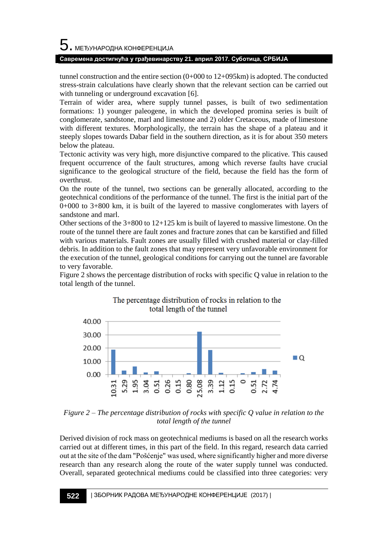# 5. МЕЂУНАРОДНА КОНФЕРЕНЦИЈА

### **Савремена достигнућа у грађевинарству 21. април 2017. Суботица, СРБИЈА**

tunnel construction and the entire section  $(0+000$  to  $12+095$  km) is adopted. The conducted stress-strain calculations have clearly shown that the relevant section can be carried out with tunneling or underground excavation [6].

Terrain of wider area, where supply tunnel passes, is built of two sedimentation formations: 1) younger paleogene, in which the developed promina series is built of conglomerate, sandstone, marl and limestone and 2) older Cretaceous, made of limestone with different textures. Morphologically, the terrain has the shape of a plateau and it steeply slopes towards Dabar field in the southern direction, as it is for about 350 meters below the plateau.

Tectonic activity was very high, more disjunctive compared to the plicative. This caused frequent occurrence of the fault structures, among which reverse faults have crucial significance to the geological structure of the field, because the field has the form of overthrust.

On the route of the tunnel, two sections can be generally allocated, according to the geotechnical conditions of the performance of the tunnel. The first is the initial part of the  $0+000$  to  $3+800$  km, it is built of the layered to massive conglomerates with layers of sandstone and marl.

Other sections of the 3+800 to 12+125 km is built of layered to massive limestone. On the route of the tunnel there are fault zones and fracture zones that can be karstified and filled with various materials. Fault zones are usually filled with crushed material or clay-filled debris. In addition to the fault zones that may represent very unfavorable environment for the execution of the tunnel, geological conditions for carrying out the tunnel are favorable to very favorable.

Figure 2 shows the percentage distribution of rocks with specific Q value in relation to the total length of the tunnel.



## The percentage distribution of rocks in relation to the total length of the tunnel

*Figure 2 – The percentage distribution of rocks with specific Q value in relation to the total length of the tunnel*

Derived division of rock mass on geotechnical mediums is based on all the research works carried out at different times, in this part of the field. In this regard, research data carried out at the site of the dam "Pošćenje" was used, where significantly higher and more diverse research than any research along the route of the water supply tunnel was conducted. Overall, separated geotechnical mediums could be classified into three categories: very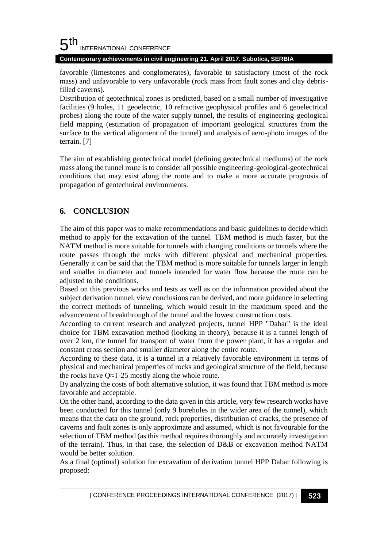#### 5 th INTERNATIONAL CONFERENCE

### **Contemporary achievements in civil engineering 21. April 2017. Subotica, SERBIA**

favorable (limestones and conglomerates), favorable to satisfactory (most of the rock mass) and unfavorable to very unfavorable (rock mass from fault zones and clay debrisfilled caverns).

Distribution of geotechnical zones is predicted, based on a small number of investigative facilities (9 holes, 11 geoelectric, 10 refractive geophysical profiles and 6 geoelectrical probes) along the route of the water supply tunnel, the results of engineering-geological field mapping (estimation of propagation of important geological structures from the surface to the vertical alignment of the tunnel) and analysis of aero-photo images of the terrain. [7]

The aim of establishing geotechnical model (defining geotechnical mediums) of the rock mass along the tunnel route is to consider all possible engineering-geological-geotechnical conditions that may exist along the route and to make a more accurate prognosis of propagation of geotechnical environments.

## **6. CONCLUSION**

The aim of this paper was to make recommendations and basic guidelines to decide which method to apply for the excavation of the tunnel. TBM method is much faster, but the NATM method is more suitable for tunnels with changing conditions or tunnels where the route passes through the rocks with different physical and mechanical properties. Generally it can be said that the TBM method is more suitable for tunnels larger in length and smaller in diameter and tunnels intended for water flow because the route can be adjusted to the conditions.

Based on this previous works and tests as well as on the information provided about the subject derivation tunnel, view conclusions can be derived, and more guidance in selecting the correct methods of tunneling, which would result in the maximum speed and the advancement of breakthrough of the tunnel and the lowest construction costs.

According to current research and analyzed projects, tunnel HPP "Dabar" is the ideal choice for TBM excavation method (looking in theory), because it is a tunnel length of over 2 km, the tunnel for transport of water from the power plant, it has a regular and constant cross section and smaller diameter along the entire route.

According to these data, it is a tunnel in a relatively favorable environment in terms of physical and mechanical properties of rocks and geological structure of the field, because the rocks have  $Q \approx 1-25$  mostly along the whole route.

By analyzing the costs of both alternative solution, it was found that TBM method is more favorable and acceptable.

On the other hand, according to the data given in this article, very few research works have been conducted for this tunnel (only 9 boreholes in the wider area of the tunnel), which means that the data on the ground, rock properties, distribution of cracks, the presence of caverns and fault zones is only approximate and assumed, which is not favourable for the selection of TBM method (as this method requires thoroughly and accurately investigation of the terrain). Thus, in that case, the selection of D&B or excavation method NATM would be better solution.

As a final (optimal) solution for excavation of derivation tunnel HPP Dabar following is proposed: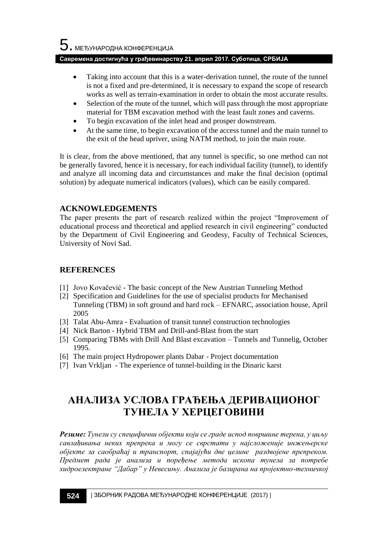### **Савремена достигнућа у грађевинарству 21. април 2017. Суботица, СРБИЈА**

- Taking into account that this is a water-derivation tunnel, the route of the tunnel is not a fixed and pre-determined, it is necessary to expand the scope of research works as well as terrain-examination in order to obtain the most accurate results.
- Selection of the route of the tunnel, which will pass through the most appropriate material for TBM excavation method with the least fault zones and caverns.
- To begin excavation of the inlet head and prosper downstream.
- At the same time, to begin excavation of the access tunnel and the main tunnel to the exit of the head upriver, using NATM method, to join the main route.

It is clear, from the above mentioned, that any tunnel is specific, so one method can not be generally favored, hence it is necessary, for each individual facility (tunnel), to identify and analyze all incoming data and circumstances and make the final decision (optimal solution) by adequate numerical indicators (values), which can be easily compared.

### **ACKNOWLEDGEMENTS**

The paper presents the part of research realized within the project "Improvement of educational process and theoretical and applied research in civil engineering" conducted by the Department of Civil Engineering and Geodesy, Faculty of Technical Sciences, University of Novi Sad.

## **REFERENCES**

- [1] Jovo Kovačević The basic concept of the New Austrian Tunneling Method
- [2] Specification and Guidelines for the use of specialist products for Mechanised Tunneling (TBM) in soft ground and hard rock – EFNARC, association house, April 2005
- [3] Talat Abu-Amra Evaluation of transit tunnel construction technologies
- [4] Nick Barton Hybrid TBM and Drill-and-Blast from the start
- [5] Comparing TBMs with Drill And Blast excavation Tunnels and Tunnelig, October 1995.
- [6] The main project Hydropower plants Dabar Project documentation
- [7] Ivan Vrkljan The experience of tunnel-building in the Dinaric karst

## **АНАЛИЗА УСЛОВА ГРАЂЕЊА ДЕРИВАЦИОНОГ ТУНЕЛА У ХЕРЦЕГОВИНИ**

*Резиме: Тунели су специфични објекти који се граде испод површине терена, у циљу савлађивања неких препрека и могу се сврстати у најсложеније инжењерске објекте за саобраћај и транспорт, спајајући две целине раздвојене препреком. Предмет рада је анализа и поређење метода ископа тунела за потребе хидроелектране "Дабар" у Невесињу. Анализа је базирана на пројектно-техничкој*